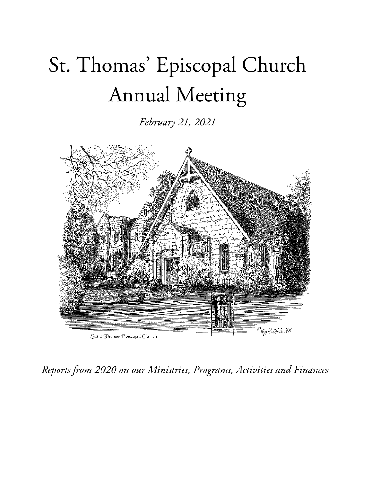# St. Thomas' Episcopal Church Annual Meeting

*February 21, 2021*



*Reports from 2020 on our Ministries, Programs, Activities and Finances*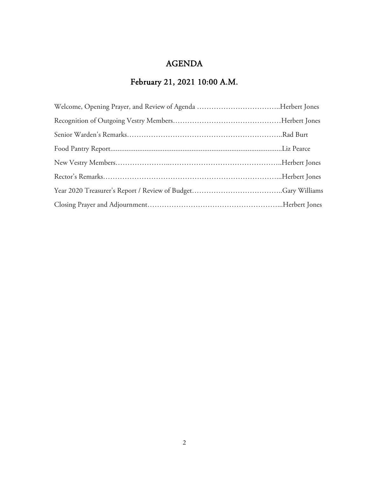# AGENDA

# February 21, 2021 10:00 A.M.

| Welcome, Opening Prayer, and Review of Agenda Herbert Jones |  |
|-------------------------------------------------------------|--|
|                                                             |  |
|                                                             |  |
|                                                             |  |
|                                                             |  |
|                                                             |  |
|                                                             |  |
|                                                             |  |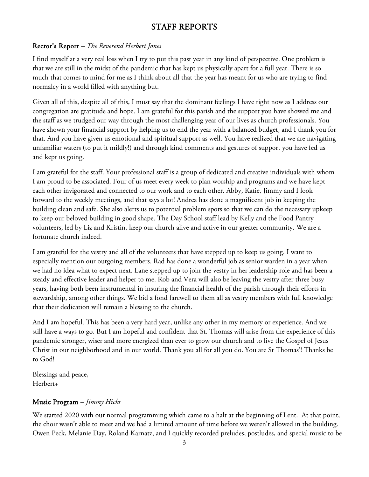# STAFF REPORTS

### Rector's Report *– The Reverend Herbert Jones*

I find myself at a very real loss when I try to put this past year in any kind of perspective. One problem is that we are still in the midst of the pandemic that has kept us physically apart for a full year. There is so much that comes to mind for me as I think about all that the year has meant for us who are trying to find normalcy in a world filled with anything but.

Given all of this, despite all of this, I must say that the dominant feelings I have right now as I address our congregation are gratitude and hope. I am grateful for this parish and the support you have showed me and the staff as we trudged our way through the most challenging year of our lives as church professionals. You have shown your financial support by helping us to end the year with a balanced budget, and I thank you for that. And you have given us emotional and spiritual support as well. You have realized that we are navigating unfamiliar waters (to put it mildly!) and through kind comments and gestures of support you have fed us and kept us going.

I am grateful for the staff. Your professional staff is a group of dedicated and creative individuals with whom I am proud to be associated. Four of us meet every week to plan worship and programs and we have kept each other invigorated and connected to our work and to each other. Abby, Katie, Jimmy and I look forward to the weekly meetings, and that says a lot! Andrea has done a magnificent job in keeping the building clean and safe. She also alerts us to potential problem spots so that we can do the necessary upkeep to keep our beloved building in good shape. The Day School staff lead by Kelly and the Food Pantry volunteers, led by Liz and Kristin, keep our church alive and active in our greater community. We are a fortunate church indeed.

I am grateful for the vestry and all of the volunteers that have stepped up to keep us going. I want to especially mention our outgoing members. Rad has done a wonderful job as senior warden in a year when we had no idea what to expect next. Lane stepped up to join the vestry in her leadership role and has been a steady and effective leader and helper to me. Rob and Vera will also be leaving the vestry after three busy years, having both been instrumental in insuring the financial health of the parish through their efforts in stewardship, among other things. We bid a fond farewell to them all as vestry members with full knowledge that their dedication will remain a blessing to the church.

And I am hopeful. This has been a very hard year, unlike any other in my memory or experience. And we still have a ways to go. But I am hopeful and confident that St. Thomas will arise from the experience of this pandemic stronger, wiser and more energized than ever to grow our church and to live the Gospel of Jesus Christ in our neighborhood and in our world. Thank you all for all you do. You are St Thomas'! Thanks be to God!

Blessings and peace, Herbert+

# Music Program *– Jimmy Hicks*

We started 2020 with our normal programming which came to a halt at the beginning of Lent. At that point, the choir wasn't able to meet and we had a limited amount of time before we weren't allowed in the building. Owen Peck, Melanie Day, Roland Karnatz, and I quickly recorded preludes, postludes, and special music to be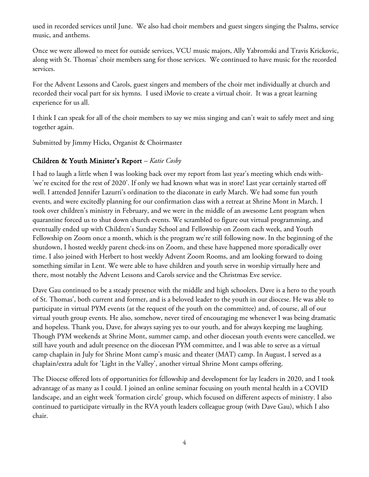used in recorded services until June. We also had choir members and guest singers singing the Psalms, service music, and anthems.

Once we were allowed to meet for outside services, VCU music majors, Ally Yabromski and Travis Krickovic, along with St. Thomas' choir members sang for those services. We continued to have music for the recorded services.

For the Advent Lessons and Carols, guest singers and members of the choir met individually at church and recorded their vocal part for six hymns. I used iMovie to create a virtual choir. It was a great learning experience for us all.

I think I can speak for all of the choir members to say we miss singing and can't wait to safely meet and sing together again.

Submitted by Jimmy Hicks, Organist & Choirmaster

#### Children & Youth Minister's Report *– Katie Cosby*

I had to laugh a little when I was looking back over my report from last year's meeting which ends with- 'we're excited for the rest of 2020'. If only we had known what was in store! Last year certainly started off well. I attended Jennifer Lazurri's ordination to the diaconate in early March. We had some fun youth events, and were excitedly planning for our confirmation class with a retreat at Shrine Mont in March. I took over children's ministry in February, and we were in the middle of an awesome Lent program when quarantine forced us to shut down church events. We scrambled to figure out virtual programming, and eventually ended up with Children's Sunday School and Fellowship on Zoom each week, and Youth Fellowship on Zoom once a month, which is the program we're still following now. In the beginning of the shutdown, I hosted weekly parent check-ins on Zoom, and these have happened more sporadically over time. I also joined with Herbert to host weekly Advent Zoom Rooms, and am looking forward to doing something similar in Lent. We were able to have children and youth serve in worship virtually here and there, most notably the Advent Lessons and Carols service and the Christmas Eve service.

Dave Gau continued to be a steady presence with the middle and high schoolers. Dave is a hero to the youth of St. Thomas', both current and former, and is a beloved leader to the youth in our diocese. He was able to participate in virtual PYM events (at the request of the youth on the committee) and, of course, all of our virtual youth group events. He also, somehow, never tired of encouraging me whenever I was being dramatic and hopeless. Thank you, Dave, for always saying yes to our youth, and for always keeping me laughing. Though PYM weekends at Shrine Mont, summer camp, and other diocesan youth events were cancelled, we still have youth and adult presence on the diocesan PYM committee, and I was able to serve as a virtual camp chaplain in July for Shrine Mont camp's music and theater (MAT) camp. In August, I served as a chaplain/extra adult for 'Light in the Valley', another virtual Shrine Mont camps offering.

The Diocese offered lots of opportunities for fellowship and development for lay leaders in 2020, and I took advantage of as many as I could. I joined an online seminar focusing on youth mental health in a COVID landscape, and an eight week 'formation circle' group, which focused on different aspects of ministry. I also continued to participate virtually in the RVA youth leaders colleague group (with Dave Gau), which I also chair.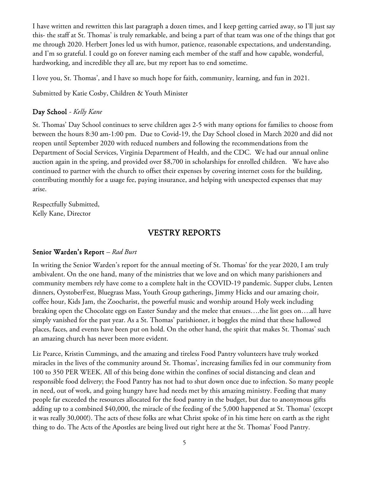I have written and rewritten this last paragraph a dozen times, and I keep getting carried away, so I'll just say this- the staff at St. Thomas' is truly remarkable, and being a part of that team was one of the things that got me through 2020. Herbert Jones led us with humor, patience, reasonable expectations, and understanding, and I'm so grateful. I could go on forever naming each member of the staff and how capable, wonderful, hardworking, and incredible they all are, but my report has to end sometime.

I love you, St. Thomas', and I have so much hope for faith, community, learning, and fun in 2021.

Submitted by Katie Cosby, Children & Youth Minister

#### Day School *- Kelly Kane*

St. Thomas' Day School continues to serve children ages 2-5 with many options for families to choose from between the hours 8:30 am-1:00 pm. Due to Covid-19, the Day School closed in March 2020 and did not reopen until September 2020 with reduced numbers and following the recommendations from the Department of Social Services, Virginia Department of Health, and the CDC. We had our annual online auction again in the spring, and provided over \$8,700 in scholarships for enrolled children. We have also continued to partner with the church to offset their expenses by covering internet costs for the building, contributing monthly for a usage fee, paying insurance, and helping with unexpected expenses that may arise.

Respectfully Submitted, Kelly Kane, Director

#### VESTRY REPORTS

#### Senior Warden's Report *– Rad Burt*

In writing the Senior Warden's report for the annual meeting of St. Thomas' for the year 2020, I am truly ambivalent. On the one hand, many of the ministries that we love and on which many parishioners and community members rely have come to a complete halt in the COVID-19 pandemic. Supper clubs, Lenten dinners, OystoberFest, Bluegrass Mass, Youth Group gatherings, Jimmy Hicks and our amazing choir, coffee hour, Kids Jam, the Zoocharist, the powerful music and worship around Holy week including breaking open the Chocolate eggs on Easter Sunday and the melee that ensues….the list goes on….all have simply vanished for the past year. As a St. Thomas' parishioner, it boggles the mind that these hallowed places, faces, and events have been put on hold. On the other hand, the spirit that makes St. Thomas' such an amazing church has never been more evident.

Liz Pearce, Kristin Cummings, and the amazing and tireless Food Pantry volunteers have truly worked miracles in the lives of the community around St. Thomas', increasing families fed in our community from 100 to 350 PER WEEK. All of this being done within the confines of social distancing and clean and responsible food delivery; the Food Pantry has not had to shut down once due to infection. So many people in need, out of work, and going hungry have had needs met by this amazing ministry. Feeding that many people far exceeded the resources allocated for the food pantry in the budget, but due to anonymous gifts adding up to a combined \$40,000, the miracle of the feeding of the 5,000 happened at St. Thomas' (except it was really 30,000!). The acts of these folks are what Christ spoke of in his time here on earth as the right thing to do. The Acts of the Apostles are being lived out right here at the St. Thomas' Food Pantry.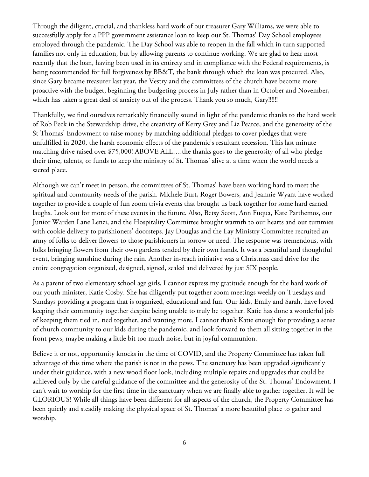Through the diligent, crucial, and thankless hard work of our treasurer Gary Williams, we were able to successfully apply for a PPP government assistance loan to keep our St. Thomas' Day School employees employed through the pandemic. The Day School was able to reopen in the fall which in turn supported families not only in education, but by allowing parents to continue working. We are glad to hear most recently that the loan, having been used in its entirety and in compliance with the Federal requirements, is being recommended for full forgiveness by BB&T, the bank through which the loan was procured. Also, since Gary became treasurer last year, the Vestry and the committees of the church have become more proactive with the budget, beginning the budgeting process in July rather than in October and November, which has taken a great deal of anxiety out of the process. Thank you so much, Gary!!!!!!!

Thankfully, we find ourselves remarkably financially sound in light of the pandemic thanks to the hard work of Rob Peck in the Stewardship drive, the creativity of Kerry Grey and Liz Pearce, and the generosity of the St Thomas' Endowment to raise money by matching additional pledges to cover pledges that were unfulfilled in 2020, the harsh economic effects of the pandemic's resultant recession. This last minute matching drive raised over \$75,000! ABOVE ALL….the thanks goes to the generosity of all who pledge their time, talents, or funds to keep the ministry of St. Thomas' alive at a time when the world needs a sacred place.

Although we can't meet in person, the committees of St. Thomas' have been working hard to meet the spiritual and community needs of the parish. Michele Burt, Roger Bowers, and Jeannie Wyant have worked together to provide a couple of fun zoom trivia events that brought us back together for some hard earned laughs. Look out for more of these events in the future. Also, Betsy Scott, Ann Fuqua, Kate Parthemos, our Junior Warden Lane Lenzi, and the Hospitality Committee brought warmth to our hearts and our tummies with cookie delivery to parishioners' doorsteps. Jay Douglas and the Lay Ministry Committee recruited an army of folks to deliver flowers to those parishioners in sorrow or need. The response was tremendous, with folks bringing flowers from their own gardens tended by their own hands. It was a beautiful and thoughtful event, bringing sunshine during the rain. Another in-reach initiative was a Christmas card drive for the entire congregation organized, designed, signed, sealed and delivered by just SIX people.

As a parent of two elementary school age girls, I cannot express my gratitude enough for the hard work of our youth minister, Katie Cosby. She has diligently put together zoom meetings weekly on Tuesdays and Sundays providing a program that is organized, educational and fun. Our kids, Emily and Sarah, have loved keeping their community together despite being unable to truly be together. Katie has done a wonderful job of keeping them tied in, tied together, and wanting more. I cannot thank Katie enough for providing a sense of church community to our kids during the pandemic, and look forward to them all sitting together in the front pews, maybe making a little bit too much noise, but in joyful communion.

Believe it or not, opportunity knocks in the time of COVID, and the Property Committee has taken full advantage of this time where the parish is not in the pews. The sanctuary has been upgraded significantly under their guidance, with a new wood floor look, including multiple repairs and upgrades that could be achieved only by the careful guidance of the committee and the generosity of the St. Thomas' Endowment. I can't wait to worship for the first time in the sanctuary when we are finally able to gather together. It will be GLORIOUS! While all things have been different for all aspects of the church, the Property Committee has been quietly and steadily making the physical space of St. Thomas' a more beautiful place to gather and worship.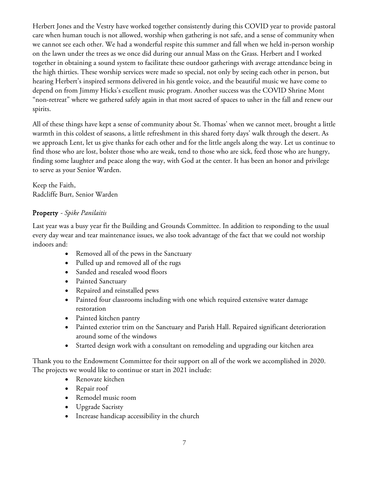Herbert Jones and the Vestry have worked together consistently during this COVID year to provide pastoral care when human touch is not allowed, worship when gathering is not safe, and a sense of community when we cannot see each other. We had a wonderful respite this summer and fall when we held in-person worship on the lawn under the trees as we once did during our annual Mass on the Grass. Herbert and I worked together in obtaining a sound system to facilitate these outdoor gatherings with average attendance being in the high thirties. These worship services were made so special, not only by seeing each other in person, but hearing Herbert's inspired sermons delivered in his gentle voice, and the beautiful music we have come to depend on from Jimmy Hicks's excellent music program. Another success was the COVID Shrine Mont "non-retreat" where we gathered safely again in that most sacred of spaces to usher in the fall and renew our spirits.

All of these things have kept a sense of community about St. Thomas' when we cannot meet, brought a little warmth in this coldest of seasons, a little refreshment in this shared forty days' walk through the desert. As we approach Lent, let us give thanks for each other and for the little angels along the way. Let us continue to find those who are lost, bolster those who are weak, tend to those who are sick, feed those who are hungry, finding some laughter and peace along the way, with God at the center. It has been an honor and privilege to serve as your Senior Warden.

Keep the Faith, Radcliffe Burt, Senior Warden

# Property *- Spike Panilaitis*

Last year was a busy year fir the Building and Grounds Committee. In addition to responding to the usual every day wear and tear maintenance issues, we also took advantage of the fact that we could not worship indoors and:

- Removed all of the pews in the Sanctuary
- Pulled up and removed all of the rugs
- Sanded and resealed wood floors
- Painted Sanctuary
- Repaired and reinstalled pews
- Painted four classrooms including with one which required extensive water damage restoration
- Painted kitchen pantry
- Painted exterior trim on the Sanctuary and Parish Hall. Repaired significant deterioration around some of the windows
- Started design work with a consultant on remodeling and upgrading our kitchen area

Thank you to the Endowment Committee for their support on all of the work we accomplished in 2020. The projects we would like to continue or start in 2021 include:

- Renovate kitchen
- Repair roof
- Remodel music room
- Upgrade Sacristy
- Increase handicap accessibility in the church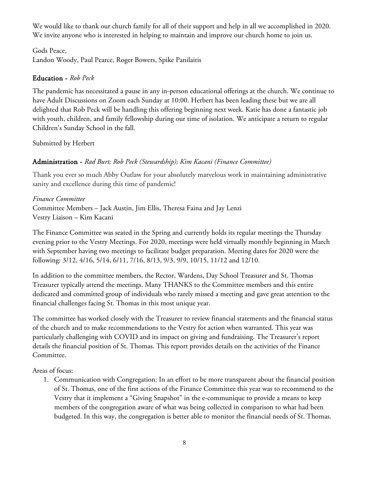We would like to thank our church family for all of their support and help in all we accomplished in 2020. We invite anyone who is interested in helping to maintain and improve our church home to join us.

Gods Peace, Landon Woody, Paul Pearce, Roger Bowers, Spike Panilaitis

#### Education - *Rob Peck*

The pandemic has necessitated a pause in any in-person educational offerings at the church. We continue to have Adult Discussions on Zoom each Sunday at 10:00. Herbert has been leading these but we are all delighted that Rob Peck will be handling this offering beginning next week. Katie has done a fantastic job with youth, children, and family fellowship during our time of isolation. We anticipate a return to regular Children's Sunday School in the fall.

Submitted by Herbert

#### Administration - *Rad Burt; Rob Peck (Stewardship); Kim Kacani (Finance Committee)*

Thank you ever so much Abby Outlaw for your absolutely marvelous work in maintaining administrative sanity and excellence during this time of pandemic!

#### *Finance Committee*

Committee Members – Jack Austin, Jim Ellis, Theresa Faina and Jay Lenzi Vestry Liaison – Kim Kacani

The Finance Committee was seated in the Spring and currently holds its regular meetings the Thursday evening prior to the Vestry Meetings. For 2020, meetings were held virtually monthly beginning in March with September having two meetings to facilitate budget preparation. Meeting dates for 2020 were the following: 3/12, 4/16, 5/14, 6/11, 7/16, 8/13, 9/3, 9/9, 10/15, 11/12 and 12/10.

In addition to the committee members, the Rector, Wardens, Day School Treasurer and St. Thomas Treasurer typically attend the meetings. Many THANKS to the Committee members and this entire dedicated and committed group of individuals who rarely missed a meeting and gave great attention to the financial challenges facing St. Thomas in this most unique year.

The committee has worked closely with the Treasurer to review financial statements and the financial status of the church and to make recommendations to the Vestry for action when warranted. This year was particularly challenging with COVID and its impact on giving and fundraising. The Treasurer's report details the financial position of St. Thomas. This report provides details on the activities of the Finance Committee.

Areas of focus:

1. Communication with Congregation: In an effort to be more transparent about the financial position of St. Thomas, one of the first actions of the Finance Committee this year was to recommend to the Vestry that it implement a "Giving Snapshot" in the e-communique to provide a means to keep members of the congregation aware of what was being collected in comparison to what had been budgeted. In this way, the congregation is better able to monitor the financial needs of St. Thomas.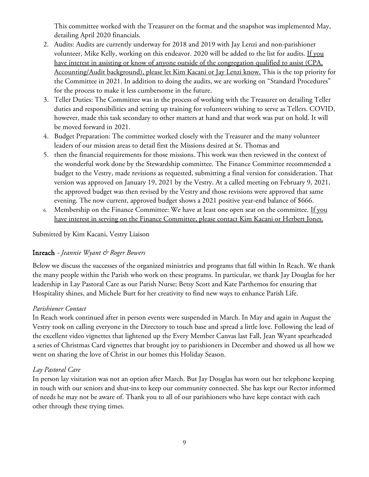This committee worked with the Treasurer on the format and the snapshot was implemented May, detailing April 2020 financials.

- 2. Audits: Audits are currently underway for 2018 and 2019 with Jay Lenzi and non-parishioner volunteer, Mike Kelly, working on this endeavor. 2020 will be added to the list for audits. If you have interest in assisting or know of anyone outside of the congregation qualified to assist (CPA, Accounting/Audit background), please let Kim Kacani or Jay Lenzi know. This is the top priority for the Committee in 2021. In addition to doing the audits, we are working on "Standard Procedures" for the process to make it less cumbersome in the future.
- 3. Teller Duties: The Committee was in the process of working with the Treasurer on detailing Teller duties and responsibilities and setting up training for volunteers wishing to serve as Tellers. COVID, however, made this task secondary to other matters at hand and that work was put on hold. It will be moved forward in 2021.
- 4. Budget Preparation: The committee worked closely with the Treasurer and the many volunteer leaders of our mission areas to detail first the Missions desired at St. Thomas and
- 5. then the financial requirements for those missions. This work was then reviewed in the context of the wonderful work done by the Stewardship committee. The Finance Committee recommended a budget to the Vestry, made revisions as requested, submitting a final version for consideration. That version was approved on January 19, 2021 by the Vestry. At a called meeting on February 9, 2021, the approved budget was then revised by the Vestry and those revisions were approved that same evening. The now current, approved budget shows a 2021 positive year-end balance of \$666.
- 6. Membership on the Finance Committee: We have at least one open seat on the committee. If you have interest in serving on the Finance Committee, please contact Kim Kacani or Herbert Jones.

Submitted by Kim Kacani, Vestry Liaison

#### Inreach *- Jeannie Wyant & Roger Bowers*

Below we discuss the successes of the organized ministries and programs that fall within In Reach. We thank the many people within the Parish who work on these programs. In particular, we thank Jay Douglas for her leadership in Lay Pastoral Care as our Parish Nurse; Betsy Scott and Kate Parthemos for ensuring that Hospitality shines, and Michele Burt for her creativity to find new ways to enhance Parish Life.

#### *Parishioner Contact*

In Reach work continued after in person events were suspended in March. In May and again in August the Vestry took on calling everyone in the Directory to touch base and spread a little love. Following the lead of the excellent video vignettes that lightened up the Every Member Canvas last Fall, Jean Wyant spearheaded a series of Christmas Card vignettes that brought joy to parishioners in December and showed us all how we went on sharing the love of Christ in our homes this Holiday Season.

#### *Lay Pastoral Care*

In person lay visitation was not an option after March. But Jay Douglas has worn out her telephone keeping in touch with our seniors and shut-ins to keep our community connected. She has kept our Rector informed of needs he may not be aware of. Thank you to all of our parishioners who have kept contact with each other through these trying times.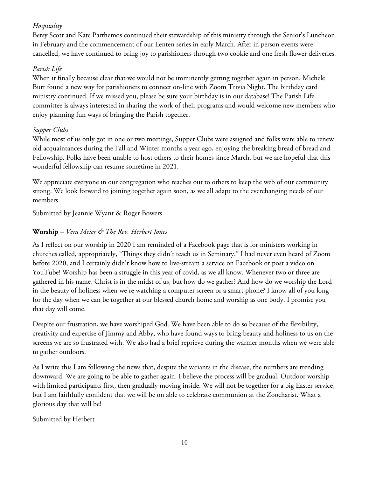# *Hospitality*

Betsy Scott and Kate Parthemos continued their stewardship of this ministry through the Senior's Luncheon in February and the commencement of our Lenten series in early March. After in person events were cancelled, we have continued to bring joy to parishioners through two cookie and one fresh flower deliveries.

# *Parish Life*

When it finally because clear that we would not be imminently getting together again in person, Michele Burt found a new way for parishioners to connect on-line with Zoom Trivia Night. The birthday card ministry continued. If we missed you, please be sure your birthday is in our database! The Parish Life committee is always interested in sharing the work of their programs and would welcome new members who enjoy planning fun ways of bringing the Parish together.

# *Supper Clubs*

While most of us only got in one or two meetings, Supper Clubs were assigned and folks were able to renew old acquaintances during the Fall and Winter months a year ago, enjoying the breaking bread of bread and Fellowship. Folks have been unable to host others to their homes since March, but we are hopeful that this wonderful fellowship can resume sometime in 2021.

We appreciate everyone in our congregation who reaches out to others to keep the web of our community strong. We look forward to joining together again soon, as we all adapt to the everchanging needs of our members.

Submitted by Jeannie Wyant & Roger Bowers

# Worship *– Vera Meier & The Rev. Herbert Jones*

As I reflect on our worship in 2020 I am reminded of a Facebook page that is for ministers working in churches called, appropriately, "Things they didn't teach us in Seminary." I had never even heard of Zoom before 2020, and I certainly didn't know how to live-stream a service on Facebook or post a video on YouTube! Worship has been a struggle in this year of covid, as we all know. Whenever two or three are gathered in his name, Christ is in the midst of us, but how do we gather? And how do we worship the Lord in the beauty of holiness when we're watching a computer screen or a smart phone? I know all of you long for the day when we can be together at our blessed church home and worship as one body. I promise you that day will come.

Despite our frustration, we have worshiped God. We have been able to do so because of the flexibility, creativity and expertise of Jimmy and Abby, who have found ways to bring beauty and holiness to us on the screens we are so frustrated with. We also had a brief reprieve during the warmer months when we were able to gather outdoors.

As I write this I am following the news that, despite the variants in the disease, the numbers are trending downward. We are going to be able to gather again. I believe the process will be gradual. Outdoor worship with limited participants first, then gradually moving inside. We will not be together for a big Easter service, but I am faithfully confident that we will be on able to celebrate communion at the Zoocharist. What a glorious day that will be!

#### Submitted by Herbert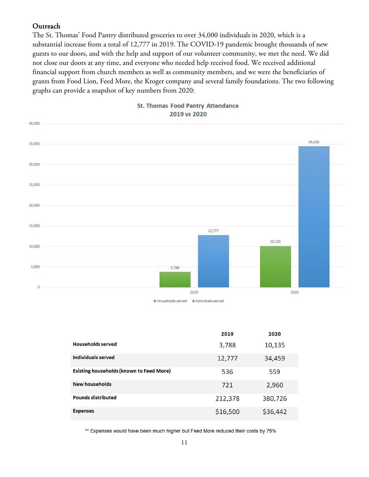#### **Outreach**

The St. Thomas' Food Pantry distributed groceries to over 34,000 individuals in 2020, which is a substantial increase from a total of 12,777 in 2019. The COVID-19 pandemic brought thousands of new guests to our doors, and with the help and support of our volunteer community, we met the need. We did not close our doors at any time, and everyone who needed help received food. We received additional financial support from church members as well as community members, and we were the beneficiaries of grants from Food Lion, Feed More, the Kroger company and several family foundations. The two following graphs can provide a snapshot of key numbers from 2020:



|                                                 | 2019     | 2020     |
|-------------------------------------------------|----------|----------|
| <b>Households served</b>                        | 3,788    | 10,135   |
| Individuals served                              | 12,777   | 34,459   |
| <b>Existing households (known to Feed More)</b> | 536      | 559      |
| <b>New households</b>                           | 721      | 2,960    |
| <b>Pounds distributed</b>                       | 212,378  | 380,726  |
| <b>Expenses</b>                                 | \$16,500 | \$36,442 |

\*\* Expenses would have been much higher but Feed More reduced their costs by 75%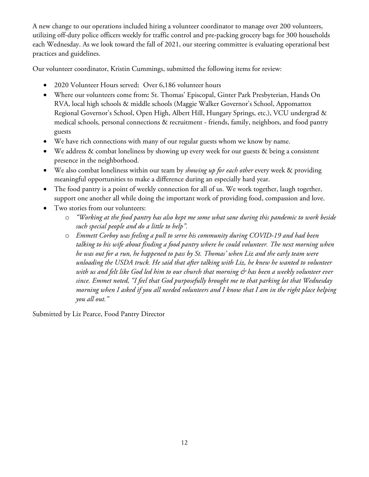A new change to our operations included hiring a volunteer coordinator to manage over 200 volunteers, utilizing off-duty police officers weekly for traffic control and pre-packing grocery bags for 300 households each Wednesday. As we look toward the fall of 2021, our steering committee is evaluating operational best practices and guidelines.

Our volunteer coordinator, Kristin Cummings, submitted the following items for review:

- 2020 Volunteer Hours served: Over 6,186 volunteer hours
- Where our volunteers come from: St. Thomas' Episcopal, Ginter Park Presbyterian, Hands On RVA, local high schools & middle schools (Maggie Walker Governor's School, Appomattox Regional Governor's School, Open High, Albert Hill, Hungary Springs, etc.), VCU undergrad & medical schools, personal connections & recruitment - friends, family, neighbors, and food pantry guests
- We have rich connections with many of our regular guests whom we know by name.
- We address & combat loneliness by showing up every week for our guests & being a consistent presence in the neighborhood.
- We also combat loneliness within our team by *showing up for each other* every week & providing meaningful opportunities to make a difference during an especially hard year.
- The food pantry is a point of weekly connection for all of us. We work together, laugh together, support one another all while doing the important work of providing food, compassion and love.
- Two stories from our volunteers:
	- o *"Working at the food pantry has also kept me some what sane during this pandemic to work beside such special people and do a little to help".*
	- o *Emmett Corboy was feeling a pull to serve his community during COVID-19 and had been talking to his wife about finding a food pantry where he could volunteer. The next morning when he was out for a run, he happened to pass by St. Thomas' when Liz and the early team were unloading the USDA truck. He said that after talking with Liz, he knew he wanted to volunteer with us and felt like God led him to our church that morning & has been a weekly volunteer ever since. Emmet noted, "I feel that God purposefully brought me to that parking lot that Wednesday morning when I asked if you all needed volunteers and I know that I am in the right place helping you all out."*

Submitted by Liz Pearce, Food Pantry Director